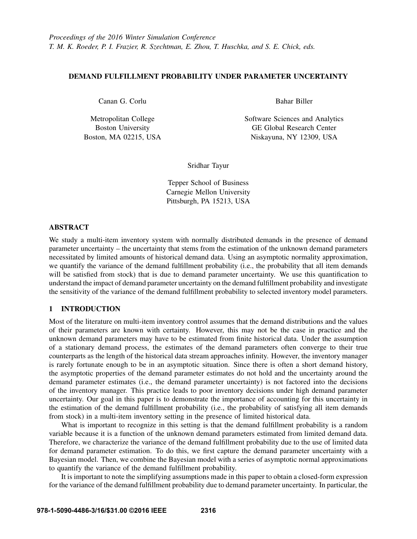## DEMAND FULFILLMENT PROBABILITY UNDER PARAMETER UNCERTAINTY

Canan G. Corlu

Metropolitan College Boston University Boston, MA 02215, USA Bahar Biller

Software Sciences and Analytics GE Global Research Center Niskayuna, NY 12309, USA

Sridhar Tayur

Tepper School of Business Carnegie Mellon University Pittsburgh, PA 15213, USA

### ABSTRACT

We study a multi-item inventory system with normally distributed demands in the presence of demand parameter uncertainty – the uncertainty that stems from the estimation of the unknown demand parameters necessitated by limited amounts of historical demand data. Using an asymptotic normality approximation, we quantify the variance of the demand fulfillment probability (i.e., the probability that all item demands will be satisfied from stock) that is due to demand parameter uncertainty. We use this quantification to understand the impact of demand parameter uncertainty on the demand fulfillment probability and investigate the sensitivity of the variance of the demand fulfillment probability to selected inventory model parameters.

# 1 INTRODUCTION

Most of the literature on multi-item inventory control assumes that the demand distributions and the values of their parameters are known with certainty. However, this may not be the case in practice and the unknown demand parameters may have to be estimated from finite historical data. Under the assumption of a stationary demand process, the estimates of the demand parameters often converge to their true counterparts as the length of the historical data stream approaches infinity. However, the inventory manager is rarely fortunate enough to be in an asymptotic situation. Since there is often a short demand history, the asymptotic properties of the demand parameter estimates do not hold and the uncertainty around the demand parameter estimates (i.e., the demand parameter uncertainty) is not factored into the decisions of the inventory manager. This practice leads to poor inventory decisions under high demand parameter uncertainty. Our goal in this paper is to demonstrate the importance of accounting for this uncertainty in the estimation of the demand fulfillment probability (i.e., the probability of satisfying all item demands from stock) in a multi-item inventory setting in the presence of limited historical data.

What is important to recognize in this setting is that the demand fulfillment probability is a random variable because it is a function of the unknown demand parameters estimated from limited demand data. Therefore, we characterize the variance of the demand fulfillment probability due to the use of limited data for demand parameter estimation. To do this, we first capture the demand parameter uncertainty with a Bayesian model. Then, we combine the Bayesian model with a series of asymptotic normal approximations to quantify the variance of the demand fulfillment probability.

It is important to note the simplifying assumptions made in this paper to obtain a closed-form expression for the variance of the demand fulfillment probability due to demand parameter uncertainty. In particular, the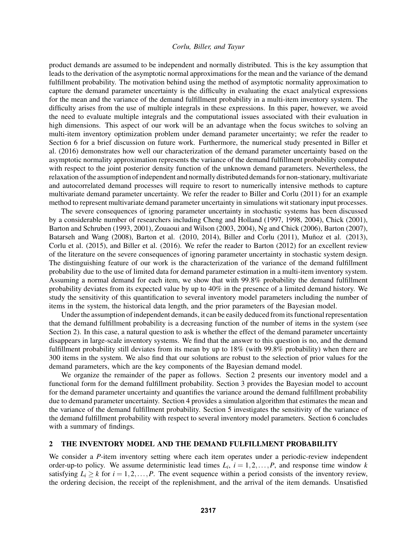product demands are assumed to be independent and normally distributed. This is the key assumption that leads to the derivation of the asymptotic normal approximations for the mean and the variance of the demand fulfillment probability. The motivation behind using the method of asymptotic normality approximation to capture the demand parameter uncertainty is the difficulty in evaluating the exact analytical expressions for the mean and the variance of the demand fulfillment probability in a multi-item inventory system. The difficulty arises from the use of multiple integrals in these expressions. In this paper, however, we avoid the need to evaluate multiple integrals and the computational issues associated with their evaluation in high dimensions. This aspect of our work will be an advantage when the focus switches to solving an multi-item inventory optimization problem under demand parameter uncertainty; we refer the reader to Section 6 for a brief discussion on future work. Furthermore, the numerical study presented in Biller et al. (2016) demonstrates how well our characterization of the demand parameter uncertainty based on the asymptotic normality approximation represents the variance of the demand fulfillment probability computed with respect to the joint posterior density function of the unknown demand parameters. Nevertheless, the relaxation of the assumption of independent and normally distributed demands for non-stationary, multivariate and autocorrelated demand processes will require to resort to numerically intensive methods to capture multivariate demand parameter uncertainty. We refer the reader to Biller and Corlu (2011) for an example method to represent multivariate demand parameter uncertainty in simulations wit stationary input processes.

The severe consequences of ignoring parameter uncertainty in stochastic systems has been discussed by a considerable number of researchers including Cheng and Holland (1997, 1998, 2004), Chick (2001), Barton and Schruben (1993, 2001), Zouaoui and Wilson (2003, 2004), Ng and Chick (2006), Barton (2007), Batarseh and Wang (2008), Barton et al. (2010, 2014), Biller and Corlu (2011), Muñoz et al. (2013), Corlu et al. (2015), and Biller et al. (2016). We refer the reader to Barton (2012) for an excellent review of the literature on the severe consequences of ignoring parameter uncertainty in stochastic system design. The distinguishing feature of our work is the characterization of the variance of the demand fulfillment probability due to the use of limited data for demand parameter estimation in a multi-item inventory system. Assuming a normal demand for each item, we show that with 99.8% probability the demand fulfillment probability deviates from its expected value by up to 40% in the presence of a limited demand history. We study the sensitivity of this quantification to several inventory model parameters including the number of items in the system, the historical data length, and the prior parameters of the Bayesian model.

Under the assumption of independent demands, it can be easily deduced from its functional representation that the demand fulfillment probability is a decreasing function of the number of items in the system (see Section 2). In this case, a natural question to ask is whether the effect of the demand parameter uncertainty disappears in large-scale inventory systems. We find that the answer to this question is no, and the demand fulfillment probability still deviates from its mean by up to 18% (with 99.8% probability) when there are 300 items in the system. We also find that our solutions are robust to the selection of prior values for the demand parameters, which are the key components of the Bayesian demand model.

We organize the remainder of the paper as follows. Section 2 presents our inventory model and a functional form for the demand fulfillment probability. Section 3 provides the Bayesian model to account for the demand parameter uncertainty and quantifies the variance around the demand fulfillment probability due to demand parameter uncertainty. Section 4 provides a simulation algorithm that estimates the mean and the variance of the demand fulfillment probability. Section 5 investigates the sensitivity of the variance of the demand fulfillment probability with respect to several inventory model parameters. Section 6 concludes with a summary of findings.

#### 2 THE INVENTORY MODEL AND THE DEMAND FULFILLMENT PROBABILITY

We consider a *P*-item inventory setting where each item operates under a periodic-review independent order-up-to policy. We assume deterministic lead times  $L_i$ ,  $i = 1, 2, \ldots, P$ , and response time window  $k$ satisfying  $L_i \geq k$  for  $i = 1, 2, ..., P$ . The event sequence within a period consists of the inventory review, the ordering decision, the receipt of the replenishment, and the arrival of the item demands. Unsatisfied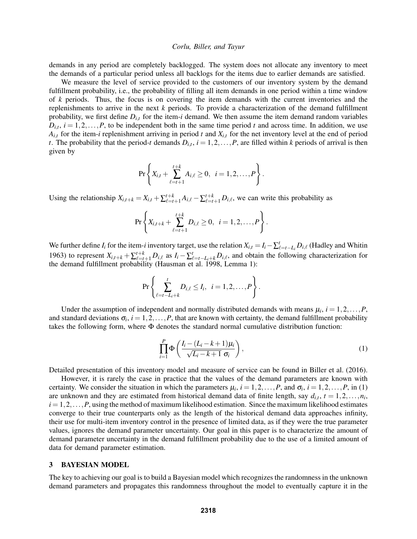demands in any period are completely backlogged. The system does not allocate any inventory to meet the demands of a particular period unless all backlogs for the items due to earlier demands are satisfied.

We measure the level of service provided to the customers of our inventory system by the demand fulfillment probability, i.e., the probability of filling all item demands in one period within a time window of *k* periods. Thus, the focus is on covering the item demands with the current inventories and the replenishments to arrive in the next *k* periods. To provide a characterization of the demand fulfillment probability, we first define  $D_{i,t}$  for the item-*i* demand. We then assume the item demand random variables  $D_{i,t}$ ,  $i = 1, 2, \ldots, P$ , to be independent both in the same time period *t* and across time. In addition, we use  $A_{i,t}$  for the item-*i* replenishment arriving in period *t* and  $X_{i,t}$  for the net inventory level at the end of period *t*. The probability that the period-*t* demands  $D_{i,t}$ ,  $i = 1, 2, ..., P$ , are filled within *k* periods of arrival is then given by

$$
\Pr\left\{X_{i,t} + \sum_{\ell=t+1}^{t+k} A_{i,\ell} \geq 0, \ i = 1,2,\ldots,P\right\}.
$$

Using the relationship  $X_{i,t+k} = X_{i,t} + \sum_{\ell=t+1}^{t+k} A_{i,\ell} - \sum_{\ell=t+1}^{t+k} D_{i,\ell}$ , we can write this probability as

$$
\Pr\left\{X_{i,t+k}+\sum_{\ell=t+1}^{t+k}D_{i,\ell}\geq 0, i=1,2,\ldots,P\right\}.
$$

We further define  $I_i$  for the item-*i* inventory target, use the relation  $X_{i,t} = I_i - \sum_{\ell=t-L_i}^{t} D_{i,\ell}$  (Hadley and Whitin 1963) to represent  $X_{i,t+k} + \sum_{\ell=t+1}^{t+k} D_{i,\ell}$  as  $I_i - \sum_{\ell=t-L_i+k}^{t} D_{i,\ell}$ , and obtain the following characterization for the demand fulfillment probability (Hausman et al. 1998, Lemma 1):

$$
\Pr \left\{ \sum_{\ell=t-L_i+k}^{t} D_{i,\ell} \leq I_i, \ \ i=1,2,\ldots,P \right\}.
$$

Under the assumption of independent and normally distributed demands with means  $\mu_i$ ,  $i = 1, 2, \dots, P$ , and standard deviations  $\sigma_i$ ,  $i = 1, 2, ..., P$ , that are known with certainty, the demand fulfillment probability takes the following form, where Φ denotes the standard normal cumulative distribution function:

$$
\prod_{i=1}^{P} \Phi\left(\frac{I_i - (L_i - k + 1)\mu_i}{\sqrt{L_i - k + 1} \sigma_i}\right),\tag{1}
$$

Detailed presentation of this inventory model and measure of service can be found in Biller et al. (2016).

However, it is rarely the case in practice that the values of the demand parameters are known with certainty. We consider the situation in which the parameters  $\mu_i$ ,  $i = 1, 2, ..., P$ , and  $\sigma_i$ ,  $i = 1, 2, ..., P$ , in (1) are unknown and they are estimated from historical demand data of finite length, say  $d_{i,t}$ ,  $t = 1, 2, \ldots, n_i$ ,  $i = 1, 2, \ldots, P$ , using the method of maximum likelihood estimation. Since the maximum likelihood estimates converge to their true counterparts only as the length of the historical demand data approaches infinity, their use for multi-item inventory control in the presence of limited data, as if they were the true parameter values, ignores the demand parameter uncertainty. Our goal in this paper is to characterize the amount of demand parameter uncertainty in the demand fulfillment probability due to the use of a limited amount of data for demand parameter estimation.

## 3 BAYESIAN MODEL

The key to achieving our goal is to build a Bayesian model which recognizes the randomness in the unknown demand parameters and propagates this randomness throughout the model to eventually capture it in the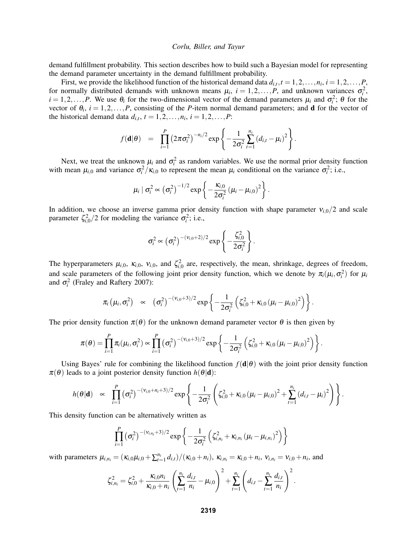demand fulfillment probability. This section describes how to build such a Bayesian model for representing the demand parameter uncertainty in the demand fulfillment probability.

First, we provide the likelihood function of the historical demand data  $d_{i,t}$ ,  $t = 1, 2, ..., n_i$ ,  $i = 1, 2, ..., P$ , for normally distributed demands with unknown means  $\mu_i$ ,  $i = 1, 2, ..., P$ , and unknown variances  $\sigma_i^2$ ,  $i = 1, 2, \dots, P$ . We use  $\theta_i$  for the two-dimensional vector of the demand parameters  $\mu_i$  and  $\sigma_i^2$ ;  $\theta$  for the vector of  $\theta_i$ ,  $i = 1, 2, ..., P$ , consisting of the *P*-item normal demand parameters; and **d** for the vector of the historical demand data  $d_{i,t}$ ,  $t = 1, 2, \ldots, n_i$ ,  $i = 1, 2, \ldots, P$ :

$$
f(\mathbf{d}|\theta) = \prod_{i=1}^P (2\pi\sigma_i^2)^{-n_i/2} \exp \left\{-\frac{1}{2\sigma_i^2}\sum_{t=1}^{n_i} (d_{i,t} - \mu_i)^2\right\}.
$$

Next, we treat the unknown  $\mu_i$  and  $\sigma_i^2$  as random variables. We use the normal prior density function with mean  $\mu_{i,0}$  and variance  $\sigma_i^2 / \kappa_{i,0}$  to represent the mean  $\mu_i$  conditional on the variance  $\sigma_i^2$ ; i.e.,

$$
\mu_i \mid \sigma_i^2 \propto \left(\sigma_i^2\right)^{-1/2} \exp \left\{-\frac{\kappa_{i,0}}{2\sigma_i^2} \left(\mu_i - \mu_{i,0}\right)^2\right\}.
$$

In addition, we choose an inverse gamma prior density function with shape parameter  $v_{i,0}/2$  and scale parameter  $\zeta_{i,0}^2/2$  for modeling the variance  $\sigma_i^2$ ; i.e.,

$$
\sigma_i^2 \propto \left(\sigma_i^2\right)^{-(v_{i,0}+2)/2} \exp \left\{-\frac{\zeta_{i,0}^2}{2\sigma_i^2}\right\}.
$$

The hyperparameters  $\mu_{i,0}$ ,  $\kappa_{i,0}$ ,  $v_{i,0}$ , and  $\zeta_{i,0}^2$  are, respectively, the mean, shrinkage, degrees of freedom, and scale parameters of the following joint prior density function, which we denote by  $\pi_i(\mu_i, \sigma_i^2)$  for  $\mu_i$ and  $\sigma_i^2$  (Fraley and Raftery 2007):

$$
\pi_i(\mu_i, \sigma_i^2) \propto (\sigma_i^2)^{-(v_{i,0}+3)/2} \exp \left\{-\frac{1}{2\sigma_i^2}\left(\zeta_{i,0}^2 + \kappa_{i,0}\left(\mu_i - \mu_{i,0}\right)^2\right)\right\}.
$$

The prior density function  $\pi(\theta)$  for the unknown demand parameter vector  $\theta$  is then given by

$$
\pi(\theta) = \prod_{i=1}^{P} \pi_i(\mu_i, \sigma_i^2) \propto \prod_{i=1}^{P} (\sigma_i^2)^{-(v_{i,0}+3)/2} \exp \left\{-\frac{1}{2\sigma_i^2} \left(\zeta_{i,0}^2 + \kappa_{i,0} (\mu_i - \mu_{i,0})^2\right)\right\}.
$$

Using Bayes' rule for combining the likelihood function  $f(d|\theta)$  with the joint prior density function  $\pi(\theta)$  leads to a joint posterior density function  $h(\theta|\mathbf{d})$ :

$$
h(\theta|\mathbf{d}) \propto \prod_{i=1}^P (\sigma_i^2)^{-(v_{i,0}+n_i+3)/2} \exp \left\{-\frac{1}{2\sigma_i^2}\left(\zeta_{i,0}^2+\kappa_{i,0}\left(\mu_i-\mu_{i,0}\right)^2+\sum_{t=1}^{n_i}\left(d_{i,t}-\mu_i\right)^2\right)\right\}.
$$

This density function can be alternatively written as

$$
\prod_{i=1}^{P} (\sigma_i^2)^{-(v_{i,n_i}+3)/2} \exp \left\{-\frac{1}{2\sigma_i^2} \left(\zeta_{i,n_i}^2 + \kappa_{i,n_i} (\mu_i - \mu_{i,n_i})^2\right)\right\}
$$

with parameters  $\mu_{i,n_i} = (\kappa_{i,0}\mu_{i,0} + \sum_{t=1}^{n_i} d_{i,t})/(\kappa_{i,0} + n_i)$ ,  $\kappa_{i,n_i} = \kappa_{i,0} + n_i$ ,  $v_{i,n_i} = v_{i,0} + n_i$ , and

$$
\zeta_{i,n_i}^2 = \zeta_{i,0}^2 + \frac{\kappa_{i,0}n_i}{\kappa_{i,0}+n_i} \left(\sum_{t=1}^{n_i} \frac{d_{i,t}}{n_i}-\mu_{i,0}\right)^2 + \sum_{t=1}^{n_i} \left(d_{i,t}-\sum_{t=1}^{n_i} \frac{d_{i,t}}{n_i}\right)^2.
$$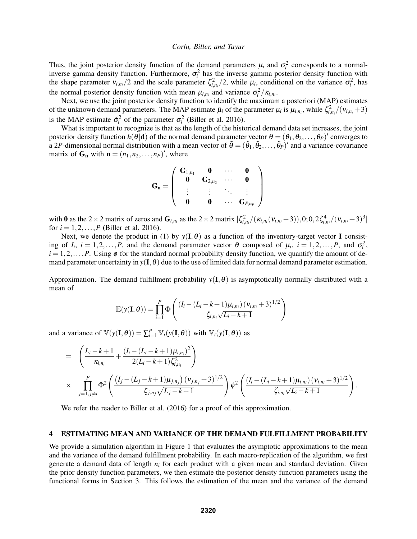Thus, the joint posterior density function of the demand parameters  $\mu_i$  and  $\sigma_i^2$  corresponds to a normalinverse gamma density function. Furthermore,  $\sigma_i^2$  has the inverse gamma posterior density function with the shape parameter  $v_{i,n_i}/2$  and the scale parameter  $\zeta_{i,n_i}^2/2$ , while  $\mu_i$ , conditional on the variance  $\sigma_i^2$ , has the normal posterior density function with mean  $\mu_{i,n_i}$  and variance  $\sigma_i^2 / \kappa_{i,n_i}$ .

Next, we use the joint posterior density function to identify the maximum a posteriori (MAP) estimates of the unknown demand parameters. The MAP estimate  $\tilde{\mu}_i$  of the parameter  $\mu_i$  is  $\mu_{i,n_i}$ , while  $\zeta_{i,n_i}^2/(\nu_{i,n_i}+3)$ is the MAP estimate  $\tilde{\sigma}_i^2$  of the parameter  $\sigma_i^2$  (Biller et al. 2016).

What is important to recognize is that as the length of the historical demand data set increases, the joint posterior density function  $h(\theta|\mathbf{d})$  of the normal demand parameter vector  $\theta = (\theta_1, \theta_2, ..., \theta_P)'$  converges to a 2P-dimensional normal distribution with a mean vector of  $\tilde{\theta} = (\tilde{\theta}_1, \tilde{\theta}_2, \dots, \tilde{\theta}_P)'$  and a variance-covariance matrix of  $G_n$  with  $n = (n_1, n_2, \dots, n_p)'$ , where

$$
\mathbf{G_n} = \left( \begin{array}{cccc} \mathbf{G}_{1,n_1} & \mathbf{0} & \cdots & \mathbf{0} \\ \mathbf{0} & \mathbf{G}_{2,n_2} & \cdots & \mathbf{0} \\ \vdots & \vdots & \ddots & \vdots \\ \mathbf{0} & \mathbf{0} & \cdots & \mathbf{G}_{P,n_P} \end{array} \right)
$$

with 0 as the 2  $\times$  2 matrix of zeros and  $G_{i,n_i}$  as the 2  $\times$  2 matrix  $[\zeta_{i,n_i}^2/(\kappa_{i,n_i}(\nu_{i,n_i}+3)),0;0,2\zeta_{i,n_i}^4/(\nu_{i,n_i}+3)^3]$ for  $i = 1, 2, ..., P$  (Biller et al. 2016).

Next, we denote the product in (1) by  $y(I, \theta)$  as a function of the inventory-target vector I consisting of  $I_i$ ,  $i = 1, 2, ..., P$ , and the demand parameter vector  $\theta$  composed of  $\mu_i$ ,  $i = 1, 2, ..., P$ , and  $\sigma_i^2$ ,  $i = 1, 2, \ldots, P$ . Using  $\phi$  for the standard normal probability density function, we quantify the amount of demand parameter uncertainty in  $y(I, \theta)$  due to the use of limited data for normal demand parameter estimation.

Approximation. The demand fulfillment probability  $y(I, \theta)$  is asymptotically normally distributed with a mean of

$$
\mathbb{E}(y(\mathbf{I}, \theta)) = \prod_{i=1}^{P} \Phi\left(\frac{(I_i - (L_i - k + 1)\mu_{i, n_i})(v_{i, n_i} + 3)^{1/2}}{\zeta_{i, n_i}\sqrt{L_i - k + 1}}\right)
$$

and a variance of  $\mathbb{V}(y(\mathbf{I}, \theta)) = \sum_{i=1}^{P} \mathbb{V}_i(y(\mathbf{I}, \theta))$  with  $\mathbb{V}_i(y(\mathbf{I}, \theta))$  as

$$
= \left(\frac{L_i - k + 1}{\kappa_{i,n_i}} + \frac{(I_i - (L_i - k + 1)\mu_{i,n_i})^2}{2(L_i - k + 1)\zeta_{i,n_i}^2}\right) \times \prod_{j=1, j \neq i}^{P} \Phi^2 \left(\frac{(I_j - (L_j - k + 1)\mu_{j,n_j})(v_{j,n_j} + 3)^{1/2}}{\zeta_{j,n_j}\sqrt{L_j - k + 1}}\right) \phi^2 \left(\frac{(I_i - (L_i - k + 1)\mu_{i,n_i})(v_{i,n_i} + 3)^{1/2}}{\zeta_{i,n_i}\sqrt{L_i - k + 1}}\right).
$$

We refer the reader to Biller et al. (2016) for a proof of this approximation.

#### 4 ESTIMATING MEAN AND VARIANCE OF THE DEMAND FULFILLMENT PROBABILITY

We provide a simulation algorithm in Figure 1 that evaluates the asymptotic approximations to the mean and the variance of the demand fulfillment probability. In each macro-replication of the algorithm, we first generate a demand data of length *n<sup>i</sup>* for each product with a given mean and standard deviation. Given the prior density function parameters, we then estimate the posterior density function parameters using the functional forms in Section 3. This follows the estimation of the mean and the variance of the demand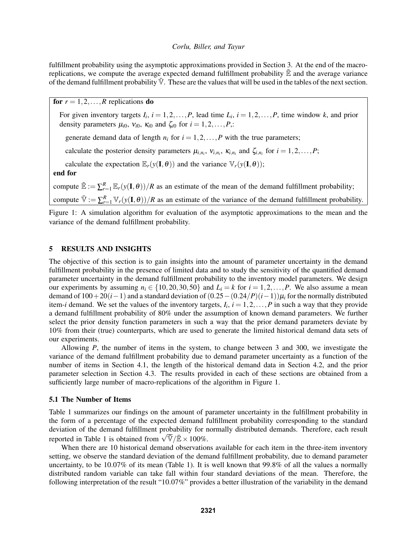fulfillment probability using the asymptotic approximations provided in Section 3. At the end of the macroreplications, we compute the average expected demand fulfillment probability  $\mathbb{\bar{E}}$  and the average variance of the demand fulfillment probability  $\bar{V}$ . These are the values that will be used in the tables of the next section.

for  $r = 1, 2, \ldots, R$  replications do

For given inventory targets  $I_i$ ,  $i = 1, 2, ..., P$ , lead time  $L_i$ ,  $i = 1, 2, ..., P$ , time window k, and prior density parameters  $\mu_{i0}$ ,  $v_{i0}$ ,  $\kappa_{i0}$  and  $\zeta_{i0}$  for  $i = 1, 2, ..., P$ ,:

generate demand data of length  $n_i$  for  $i = 1, 2, ..., P$  with the true parameters;

calculate the posterior density parameters  $\mu_{i,n_i}$ ,  $v_{i,n_i}$ ,  $\kappa_{i,n_i}$  and  $\zeta_{i,n_i}$  for  $i = 1,2,...,P$ ;

calculate the expectation  $\mathbb{E}_r(y(\mathbf{I}, \theta))$  and the variance  $\mathbb{V}_r(y(\mathbf{I}, \theta))$ ;

end for

compute  $\bar{\mathbb{E}} := \sum_{r=1}^R \mathbb{E}_r(y(\mathbf{I}, \theta))/R$  as an estimate of the mean of the demand fulfillment probability; compute  $\overline{\mathbb{V}} := \sum_{r=1}^R \mathbb{V}_r(\mathbf{y}(\mathbf{I}, \theta))/R$  as an estimate of the variance of the demand fulfillment probability.

Figure 1: A simulation algorithm for evaluation of the asymptotic approximations to the mean and the variance of the demand fulfillment probability.

## 5 RESULTS AND INSIGHTS

The objective of this section is to gain insights into the amount of parameter uncertainty in the demand fulfillment probability in the presence of limited data and to study the sensitivity of the quantified demand parameter uncertainty in the demand fulfillment probability to the inventory model parameters. We design our experiments by assuming  $n_i \in \{10, 20, 30, 50\}$  and  $L_i = k$  for  $i = 1, 2, ..., P$ . We also assume a mean demand of  $100+20(i-1)$  and a standard deviation of  $(0.25-(0.24/P)(i-1))\mu_i$  for the normally distributed item-*i* demand. We set the values of the inventory targets,  $I_i$ ,  $i = 1, 2, ..., P$  in such a way that they provide a demand fulfillment probability of 80% under the assumption of known demand parameters. We further select the prior density function parameters in such a way that the prior demand parameters deviate by 10% from their (true) counterparts, which are used to generate the limited historical demand data sets of our experiments.

Allowing *P*, the number of items in the system, to change between 3 and 300, we investigate the variance of the demand fulfillment probability due to demand parameter uncertainty as a function of the number of items in Section 4.1, the length of the historical demand data in Section 4.2, and the prior parameter selection in Section 4.3. The results provided in each of these sections are obtained from a sufficiently large number of macro-replications of the algorithm in Figure 1.

#### 5.1 The Number of Items

Table 1 summarizes our findings on the amount of parameter uncertainty in the fulfillment probability in the form of a percentage of the expected demand fulfillment probability corresponding to the standard deviation of the demand fulfillment probability for normally distributed demands. Therefore, each result deviation of the demand full time probability for negative to the demand full time probability for  $r$  reported in Table 1 is obtained from  $\sqrt{\nabla}/\mathbb{E} \times 100\%$ .

When there are 10 historical demand observations available for each item in the three-item inventory setting, we observe the standard deviation of the demand fulfillment probability, due to demand parameter uncertainty, to be 10.07% of its mean (Table 1). It is well known that 99.8% of all the values a normally distributed random variable can take fall within four standard deviations of the mean. Therefore, the following interpretation of the result "10.07%" provides a better illustration of the variability in the demand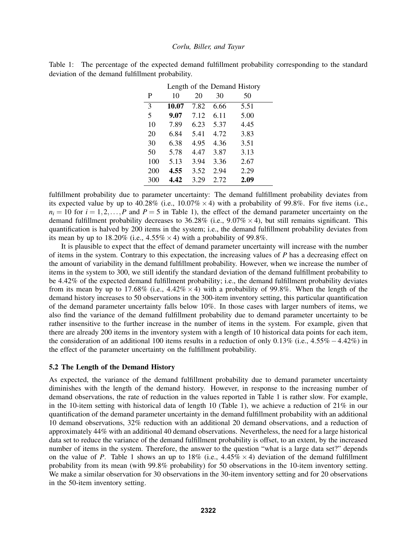|     | Length of the Demand History |      |      |      |  |  |
|-----|------------------------------|------|------|------|--|--|
| P   | 10                           | 20   | 30   | 50   |  |  |
| 3   | 10.07                        | 7.82 | 6.66 | 5.51 |  |  |
| 5   | 9.07                         | 7.12 | 6.11 | 5.00 |  |  |
| 10  | 7.89                         | 6.23 | 5.37 | 4.45 |  |  |
| 20  | 6.84                         | 5.41 | 4.72 | 3.83 |  |  |
| 30  | 6.38                         | 4.95 | 4.36 | 3.51 |  |  |
| 50  | 5.78                         | 4.47 | 3.87 | 3.13 |  |  |
| 100 | 5.13                         | 3.94 | 3.36 | 2.67 |  |  |
| 200 | 4.55                         | 3.52 | 2.94 | 2.29 |  |  |
| 300 | 4.42                         | 3.29 | 2.72 | 2.09 |  |  |

Table 1: The percentage of the expected demand fulfillment probability corresponding to the standard deviation of the demand fulfillment probability.

fulfillment probability due to parameter uncertainty: The demand fulfillment probability deviates from its expected value by up to  $40.28\%$  (i.e.,  $10.07\% \times 4$ ) with a probability of 99.8%. For five items (i.e.,  $n_i = 10$  for  $i = 1, 2, \ldots, P$  and  $P = 5$  in Table 1), the effect of the demand parameter uncertainty on the demand fulfillment probability decreases to 36.28% (i.e.,  $9.07\% \times 4$ ), but still remains significant. This quantification is halved by 200 items in the system; i.e., the demand fulfillment probability deviates from its mean by up to  $18.20\%$  (i.e.,  $4.55\% \times 4$ ) with a probability of 99.8%.

It is plausible to expect that the effect of demand parameter uncertainty will increase with the number of items in the system. Contrary to this expectation, the increasing values of *P* has a decreasing effect on the amount of variability in the demand fulfillment probability. However, when we increase the number of items in the system to 300, we still identify the standard deviation of the demand fulfillment probability to be 4.42% of the expected demand fulfillment probability; i.e., the demand fulfillment probability deviates from its mean by up to 17.68% (i.e.,  $4.42\% \times 4$ ) with a probability of 99.8%. When the length of the demand history increases to 50 observations in the 300-item inventory setting, this particular quantification of the demand parameter uncertainty falls below 10%. In those cases with larger numbers of items, we also find the variance of the demand fulfillment probability due to demand parameter uncertainty to be rather insensitive to the further increase in the number of items in the system. For example, given that there are already 200 items in the inventory system with a length of 10 historical data points for each item, the consideration of an additional 100 items results in a reduction of only 0.13% (i.e., 4.55%−4.42%) in the effect of the parameter uncertainty on the fulfillment probability.

## 5.2 The Length of the Demand History

As expected, the variance of the demand fulfillment probability due to demand parameter uncertainty diminishes with the length of the demand history. However, in response to the increasing number of demand observations, the rate of reduction in the values reported in Table 1 is rather slow. For example, in the 10-item setting with historical data of length 10 (Table 1), we achieve a reduction of 21% in our quantification of the demand parameter uncertainty in the demand fulfillment probability with an additional 10 demand observations, 32% reduction with an additional 20 demand observations, and a reduction of approximately 44% with an additional 40 demand observations. Nevertheless, the need for a large historical data set to reduce the variance of the demand fulfillment probability is offset, to an extent, by the increased number of items in the system. Therefore, the answer to the question "what is a large data set?" depends on the value of *P*. Table 1 shows an up to 18% (i.e.,  $4.45\% \times 4$ ) deviation of the demand fulfillment probability from its mean (with 99.8% probability) for 50 observations in the 10-item inventory setting. We make a similar observation for 30 observations in the 30-item inventory setting and for 20 observations in the 50-item inventory setting.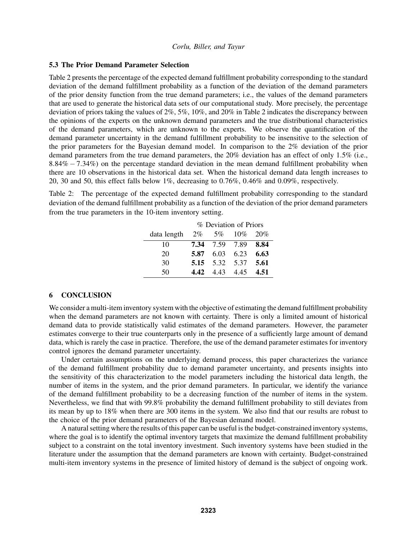#### 5.3 The Prior Demand Parameter Selection

Table 2 presents the percentage of the expected demand fulfillment probability corresponding to the standard deviation of the demand fulfillment probability as a function of the deviation of the demand parameters of the prior density function from the true demand parameters; i.e., the values of the demand parameters that are used to generate the historical data sets of our computational study. More precisely, the percentage deviation of priors taking the values of 2%, 5%, 10%, and 20% in Table 2 indicates the discrepancy between the opinions of the experts on the unknown demand parameters and the true distributional characteristics of the demand parameters, which are unknown to the experts. We observe the quantification of the demand parameter uncertainty in the demand fulfillment probability to be insensitive to the selection of the prior parameters for the Bayesian demand model. In comparison to the 2% deviation of the prior demand parameters from the true demand parameters, the 20% deviation has an effect of only 1.5% (i.e., 8.84% − 7.34%) on the percentage standard deviation in the mean demand fulfillment probability when there are 10 observations in the historical data set. When the historical demand data length increases to 20, 30 and 50, this effect falls below 1%, decreasing to 0.76%, 0.46% and 0.09%, respectively.

Table 2: The percentage of the expected demand fulfillment probability corresponding to the standard deviation of the demand fulfillment probability as a function of the deviation of the prior demand parameters from the true parameters in the 10-item inventory setting.

|             | % Deviation of Priors |                |                   |      |  |
|-------------|-----------------------|----------------|-------------------|------|--|
| data length |                       |                | $2\%$ 5% 10% 20%  |      |  |
| 10          |                       | 7.34 7.59 7.89 |                   | 8.84 |  |
| 20          | 5.87                  |                | $6.03 \quad 6.23$ | 6.63 |  |
| 30          |                       |                | 5.15 5.32 5.37    | 5.61 |  |
| 50          | 4.42                  |                | 443 445           | 4.51 |  |

### 6 CONCLUSION

We consider a multi-item inventory system with the objective of estimating the demand fulfillment probability when the demand parameters are not known with certainty. There is only a limited amount of historical demand data to provide statistically valid estimates of the demand parameters. However, the parameter estimates converge to their true counterparts only in the presence of a sufficiently large amount of demand data, which is rarely the case in practice. Therefore, the use of the demand parameter estimates for inventory control ignores the demand parameter uncertainty.

Under certain assumptions on the underlying demand process, this paper characterizes the variance of the demand fulfillment probability due to demand parameter uncertainty, and presents insights into the sensitivity of this characterization to the model parameters including the historical data length, the number of items in the system, and the prior demand parameters. In particular, we identify the variance of the demand fulfillment probability to be a decreasing function of the number of items in the system. Nevertheless, we find that with 99.8% probability the demand fulfillment probability to still deviates from its mean by up to 18% when there are 300 items in the system. We also find that our results are robust to the choice of the prior demand parameters of the Bayesian demand model.

A natural setting where the results of this paper can be useful is the budget-constrained inventory systems, where the goal is to identify the optimal inventory targets that maximize the demand fulfillment probability subject to a constraint on the total inventory investment. Such inventory systems have been studied in the literature under the assumption that the demand parameters are known with certainty. Budget-constrained multi-item inventory systems in the presence of limited history of demand is the subject of ongoing work.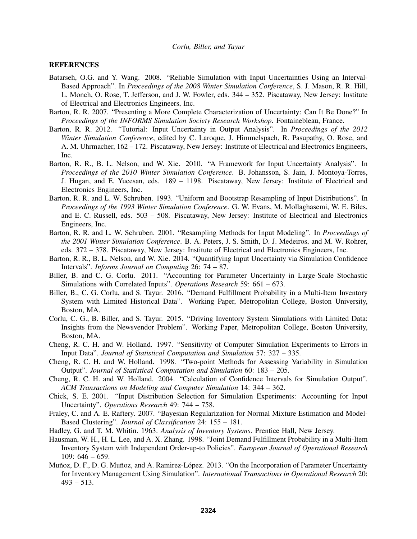#### **REFERENCES**

- Batarseh, O.G. and Y. Wang. 2008. "Reliable Simulation with Input Uncertainties Using an Interval-Based Approach". In *Proceedings of the 2008 Winter Simulation Conference*, S. J. Mason, R. R. Hill, L. Monch, O. Rose, T. Jefferson, and J. W. Fowler, eds. 344 – 352. Piscataway, New Jersey: Institute of Electrical and Electronics Engineers, Inc.
- Barton, R. R. 2007. "Presenting a More Complete Characterization of Uncertainty: Can It Be Done?" In *Proceedings of the INFORMS Simulation Society Research Workshop*. Fontainebleau, France.
- Barton, R. R. 2012. "Tutorial: Input Uncertainty in Output Analysis". In *Proceedings of the 2012 Winter Simulation Conference*, edited by C. Laroque, J. Himmelspach, R. Pasupathy, O. Rose, and A. M. Uhrmacher, 162 – 172. Piscataway, New Jersey: Institute of Electrical and Electronics Engineers, Inc.
- Barton, R. R., B. L. Nelson, and W. Xie. 2010. "A Framework for Input Uncertainty Analysis". In *Proceedings of the 2010 Winter Simulation Conference*. B. Johansson, S. Jain, J. Montoya-Torres, J. Hugan, and E. Yucesan, eds. 189 – 1198. Piscataway, New Jersey: Institute of Electrical and Electronics Engineers, Inc.
- Barton, R. R. and L. W. Schruben. 1993. "Uniform and Bootstrap Resampling of Input Distributions". In *Proceedings of the 1993 Winter Simulation Conference*. G. W. Evans, M. Mollaghasemi, W. E. Biles, and E. C. Russell, eds. 503 – 508. Piscataway, New Jersey: Institute of Electrical and Electronics Engineers, Inc.
- Barton, R. R. and L. W. Schruben. 2001. "Resampling Methods for Input Modeling". In *Proceedings of the 2001 Winter Simulation Conference*. B. A. Peters, J. S. Smith, D. J. Medeiros, and M. W. Rohrer, eds. 372 – 378. Piscataway, New Jersey: Institute of Electrical and Electronics Engineers, Inc.
- Barton, R. R., B. L. Nelson, and W. Xie. 2014. "Quantifying Input Uncertainty via Simulation Confidence Intervals". *Informs Journal on Computing* 26: 74 – 87.
- Biller, B. and C. G. Corlu. 2011. "Accounting for Parameter Uncertainty in Large-Scale Stochastic Simulations with Correlated Inputs". *Operations Research* 59: 661 – 673.
- Biller, B., C. G. Corlu, and S. Tayur. 2016. "Demand Fulfillment Probability in a Multi-Item Inventory System with Limited Historical Data". Working Paper, Metropolitan College, Boston University, Boston, MA.
- Corlu, C. G., B. Biller, and S. Tayur. 2015. "Driving Inventory System Simulations with Limited Data: Insights from the Newsvendor Problem". Working Paper, Metropolitan College, Boston University, Boston, MA.
- Cheng, R. C. H. and W. Holland. 1997. "Sensitivity of Computer Simulation Experiments to Errors in Input Data". *Journal of Statistical Computation and Simulation* 57: 327 – 335.
- Cheng, R. C. H. and W. Holland. 1998. "Two-point Methods for Assessing Variability in Simulation Output". *Journal of Statistical Computation and Simulation* 60: 183 – 205.
- Cheng, R. C. H. and W. Holland. 2004. "Calculation of Confidence Intervals for Simulation Output". *ACM Transactions on Modeling and Computer Simulation* 14: 344 – 362.
- Chick, S. E. 2001. "Input Distribution Selection for Simulation Experiments: Accounting for Input Uncertainty". *Operations Research* 49: 744 – 758.
- Fraley, C. and A. E. Raftery. 2007. "Bayesian Regularization for Normal Mixture Estimation and Model-Based Clustering". *Journal of Classification* 24: 155 – 181.
- Hadley, G. and T. M. Whitin. 1963. *Analysis of Inventory Systems*. Prentice Hall, New Jersey.
- Hausman, W. H., H. L. Lee, and A. X. Zhang. 1998. "Joint Demand Fulfillment Probability in a Multi-Item Inventory System with Independent Order-up-to Policies". *European Journal of Operational Research* 109: 646 – 659.
- Muñoz, D. F., D. G. Muñoz, and A. Ramirez-López. 2013. "On the Incorporation of Parameter Uncertainty for Inventory Management Using Simulation". *International Transactions in Operational Research* 20:  $493 - 513$ .